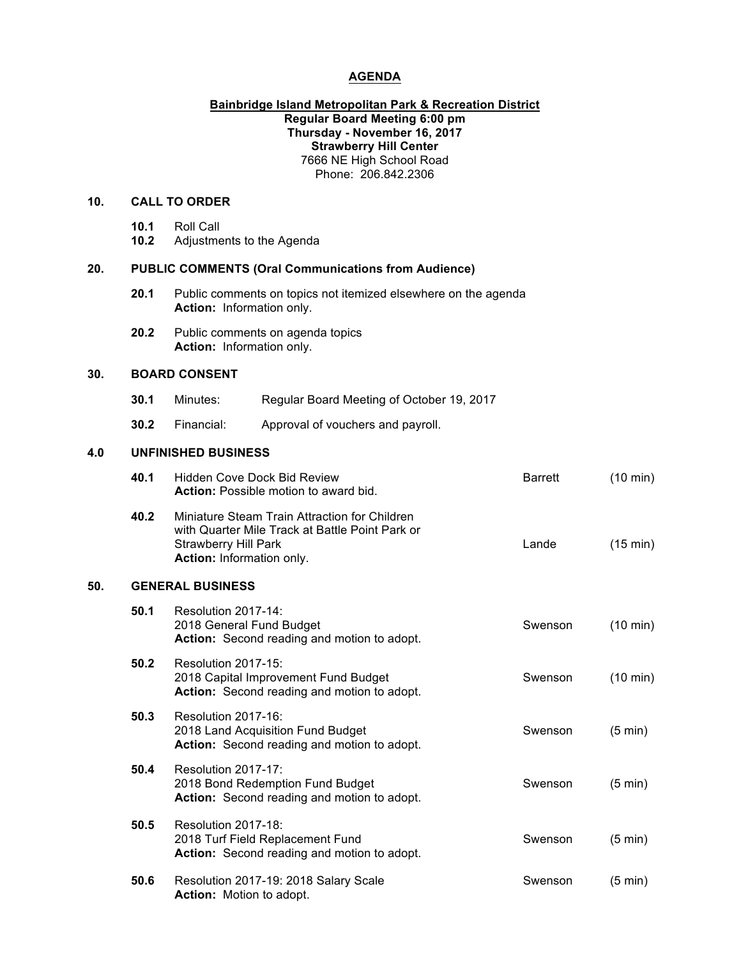# **AGENDA**

### **Bainbridge Island Metropolitan Park & Recreation District Regular Board Meeting 6:00 pm Thursday - November 16, 2017 Strawberry Hill Center** 7666 NE High School Road Phone: 206.842.2306

### **10. CALL TO ORDER**

| 10.1 | Roll Call                 |
|------|---------------------------|
| 10.2 | Adjustments to the Agenda |

## **20. PUBLIC COMMENTS (Oral Communications from Audience)**

- **20.1** Public comments on topics not itemized elsewhere on the agenda **Action:** Information only.
- **20.2** Public comments on agenda topics **Action:** Information only.

## **30. BOARD CONSENT**

**50.** 

| 30.1 | Minutes: | Regular Board Meeting of October 19, 2017 |
|------|----------|-------------------------------------------|
|------|----------|-------------------------------------------|

**30.2** Financial: Approval of vouchers and payroll.

#### **4.0 UNFINISHED BUSINESS**

|     | 40.1 | <b>Hidden Cove Dock Bid Review</b><br><b>Action:</b> Possible motion to award bid.                                                                           | <b>Barrett</b> | $(10 \text{ min})$ |
|-----|------|--------------------------------------------------------------------------------------------------------------------------------------------------------------|----------------|--------------------|
|     | 40.2 | Miniature Steam Train Attraction for Children<br>with Quarter Mile Track at Battle Point Park or<br><b>Strawberry Hill Park</b><br>Action: Information only. | Lande          | $(15 \text{ min})$ |
| 50. |      | <b>GENERAL BUSINESS</b>                                                                                                                                      |                |                    |
|     | 50.1 | Resolution 2017-14:<br>2018 General Fund Budget<br>Action: Second reading and motion to adopt.                                                               | Swenson        | $(10 \text{ min})$ |
|     | 50.2 | Resolution 2017-15:<br>2018 Capital Improvement Fund Budget<br>Action: Second reading and motion to adopt.                                                   | Swenson        | $(10 \text{ min})$ |
|     | 50.3 | Resolution 2017-16:<br>2018 Land Acquisition Fund Budget<br>Action: Second reading and motion to adopt.                                                      | Swenson        | $(5 \text{ min})$  |
|     | 50.4 | Resolution 2017-17:<br>2018 Bond Redemption Fund Budget<br>Action: Second reading and motion to adopt.                                                       | Swenson        | $(5 \text{ min})$  |
|     | 50.5 | Resolution 2017-18:<br>2018 Turf Field Replacement Fund<br>Action: Second reading and motion to adopt.                                                       | Swenson        | $(5 \text{ min})$  |
|     | 50.6 | Resolution 2017-19: 2018 Salary Scale<br><b>Action:</b> Motion to adopt.                                                                                     | Swenson        | $(5 \text{ min})$  |